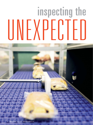# inspecting the UNEXPECTED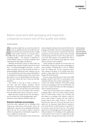# Bakers must work with packaging and inspection companies to ensure end-of-line quality and safety.

### by Karlee Renkoski

mouth water, an ingredient list that says health and wellness, and a look that is more than picture perfect; it might even be "Insta-worthy." However, if a consumer takes a bite and finds the unwanted and unforseen — perha A bakery product might have an aroma that makes the mouth water, an ingredient list that says health and wellness, and a look that is more than picture perfect; it might even be "Insta-worthy." However, if a consumer takes a bite and finds the unwanted and unforseen — perhaps erased. Suddenly a bakery is receiving a complaint, which could spiral into other, bigger consequences.

Although precautionary actions are taken before the packaging stage, a product should be inspected in its final form — even after being bagged or boxed up — to ensure safety and quality has not been breached just before or during packaging. Baking and snack companies can use X-rays, metal detectors and vision systems individually or in combination to eliminate products that contain metal, glass, plastic or even accidental allergens. But these detectors and reject systems also have to keep up with highspeed lines.

"The trouble is we've got to make a decision in real time," said Steve Gidman, president, Fortress Technology. "Dealing with highspeed lines does not give us the luxury to say, 'Let's just look at your loaf of bread. We'll come back to you in 20 minutes with a decision.' We've got milliseconds to know if it's good or a reject."

Bakers also must consider the type, size and temperature of a product and, in the packaging stage, understand how certain materials will affect inspection.

# **Detection challenges post packaging**

End-of-line safety equipment has its challenges when trying to get a clear picture of the product. And as one might guess, a big issue can be packaging materials getting in the way. It's a lot easier to inspect a snack bar without its package than an individually wrapped bar or, worse, multiple ones inside a box.

Dennis Gunnell, vice-president of sales, Formost Fuji,

said seal integrity and bag closures must be built into the packages and will affect what type of packaging material is chosen. "Customers need to communicate what their expectations are and what they want to test for and talk to all the groups involved," he said. "They could come to us and say, 'We're going to use metalized film.' Then it might get out of our machine and go right into a metal detector, and they've got a problem."

Cookie packages are typically inert because they use mostly plastic or paper, but some types of packaging can cause a problem. "Metalized film is a bit of a different beast," Mr. Gidman said. "It's just a sprayed-on aluminum coating on the plastic, so it's actually metal, but it produces a large signal that is well-defined and doesn't change with the temperature."

However, using a metal detector for these types of film packages will give at least 50% of a performance when compared with that same product unpackaged. "It is a concern," Mr. Gidman continued. "We're always looking at what your packaging is, and if it's metalized film, you may need to inspect both before and after packaging in order to optimize protection."

Certain types of end products pose a problem at the packaging stage as well. A dry snack or bakery product such as a cookie doesn't contain a lot of moisture and salt content, so, according to Mr. Gidman, a metal detector would consider it mostly inert and would see product defects more clearly. However, a moist, hot bread that just came out of the oven has quite a bit of added salt. An ohmmeter would think it's conductive, and a metal detector would determine it's metal due to its resistance across the ends of the loaf. "The product signal can be 10 times bigger than the metal signal," Mr. Gidman explained. "Our challenge in those applications is much greater where we have to compensate for that quite large effect coming from the product and still disEnd-of-line inspection allows bakers to eject products that might have been compromised before or during packaging.

Fortress lechnology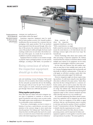Packaging equipment must often be integrated with object detection equipment for efficiency and a highquality performance. Formost Fuji

criminate very small pieces of metal hidden within that signal."

Sometimes inspection equipment must be modified for better product accuracy. Mr. Gunnell recalled a modification that was necessary for a customer that was packaging a wide, square product. The X-ray machine's beam inspected it from the top and through. After a few days of this process, the customer discovered that, because of the product's width and height, the beam wasn't reaching a small corner on each side or the furthest surface area of the square. As a result, the X-ray had to be modified to reach the uninspected areas.

 $\sqrt{6}$ 

Equipment that's too sensitive or not sensitive enough to properly inspect packaged products can also present challenges, according to Bill Kehrli, vice-president of

# Being conscious of where the inspection equipment should go is also key.

# 

sales and marketing, Cavanna Packaging. "With metal detectors, if it's too sensitive, then it kicks everything off the line and picks up metal from all over the building. The same goes with an X-ray," he said. "Or, if a shard of metal or glass is so small, it doesn't get picked up and goes through. There's not a 100% fail-safe system."

### **Fitting together puzzle pieces**

More often than not, bakers will need to integrate various types of equipment to maintain or increase the speed of production and achieve more accurate results. This might require some modification to the equipment to accommodate certain considerations.

"If you have a checkweigher, you have to remove vibrations; if you have a metal detector, you need to pay attention to the conveyor design to move metal away from the aperture," Mr. Gidman said. "Each of these machines has their own little quirks that need to be considered, so we tend to be aware of what's there and don't interfere with what's happening in front of or behind us."

Being conscious of where the inspection equipment should go is also key. "With a metal detector, we might

build a metal-free zone into our discharge conveyor and mount the metal detector, so it's built directly into our discharge conveyor right at the end of our wrap," Mr. Gunnell said.

Fortress Technology often shares reject systems with other processing or inspection equipment. Mr. Gidman mentioned that the company is sometimes asked to install multiple reject stations on its equipment: one for metal, another for a checkweigher, a third for a vision system.

On the other end, Formost Fuji will combine reject units on some lines or have multiple reject units in others. Cavanna Packaging integrates both mechanically and electrically for effective communication. "If they give us a fail signal, we will divert a product, maybe shut a line down, maybe send another signal," Mr. Kehrli said.

However, integration might not always require merging machines. It could mean using the same algorithms when data is collected in the same system. "Quite often, data from the line is being fed back to a common collection system, and we need to ensure that what we're sending is readable and compatible by whatever the baker's using," Mr. Gidman said. "That's the kind of thing where a lot of bakers can really benefit from having their equipment adapt to their common standards and then collect that data and use it in a very sensible way."

Mr. Gunnell emphasized that bakers should communicate how equipment will be integrated up and down the line. "From our standpoint, it's the ability to signal and know what up- and downstream issues to monitor in real-time and stop the machine if there's a problem," he said. "Communication is the key. The biggest thing is to identify what the requirements are or aren't."

At Heat and Control, Don Giles, director of sales, processing systems, said it's important for bakers and equipment suppliers to work together to meet the needs and expectations of a product. "We ensure quality by